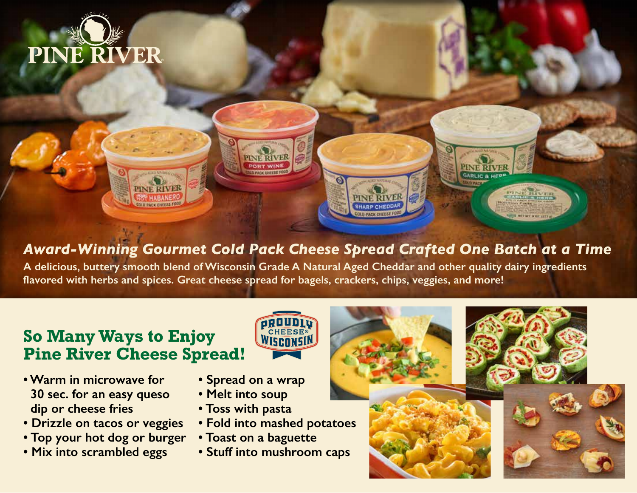



*Award-Winning Gourmet Cold Pack Cheese Spread Crafted One Batch at a Time*

**A delicious, buttery smooth blend of Wisconsin Grade A Natural Aged Cheddar and other quality dairy ingredients flavored with herbs and spices. Great cheese spread for bagels, crackers, chips, veggies, and more!**

## **So Many Ways to Enjoy Pine River Cheese Spread!**

HEESE WISRONSIN

- **Warm in microwave for 30 sec. for an easy queso dip or cheese fries**
- **Drizzle on tacos or veggies**
- **Top your hot dog or burger**
- **Mix into scrambled eggs**
- **Spread on a wrap**
- **Melt into soup**
- **Toss with pasta**
- **Fold into mashed potatoes**
- **Toast on a baguette**
- **Stuff into mushroom caps**